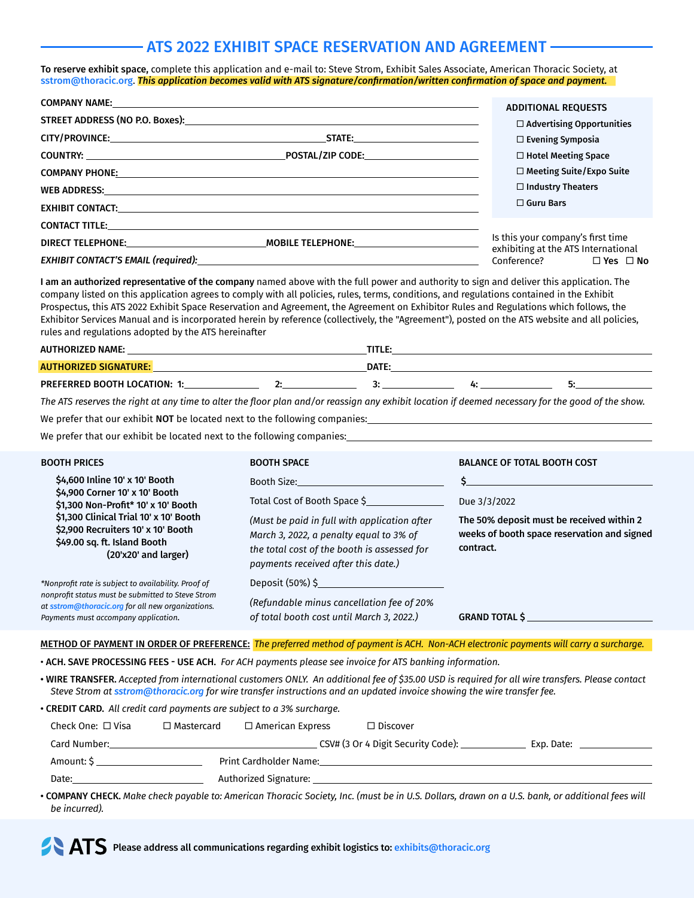# ATS 2022 EXHIBIT SPACE RESERVATION AND AGREEMENT

To reserve exhibit space, complete this application and e-mail to: Steve Strom, Exhibit Sales Associate, American Thoracic Society, at [sstrom@thoracic.org](mailto:sstrom@thoracic.org). *This application becomes valid with ATS signature/confirmation/written confirmation of space and payment.* 

| <b>ADDITIONAL REQUESTS</b>                                               |
|--------------------------------------------------------------------------|
| $\Box$ Advertising Opportunities                                         |
| $\square$ Evening Symposia                                               |
| $\Box$ Hotel Meeting Space                                               |
| $\Box$ Meeting Suite/Expo Suite                                          |
| $\Box$ Industry Theaters                                                 |
| $\Box$ Guru Bars                                                         |
|                                                                          |
| Is this your company's first time<br>exhibiting at the ATS International |
| Conference? □ Yes □ No                                                   |
|                                                                          |

I am an authorized representative of the company named above with the full power and authority to sign and deliver this application. The company listed on this application agrees to comply with all policies, rules, terms, conditions, and regulations contained in the Exhibit Prospectus, this ATS 2022 Exhibit Space Reservation and Agreement, the Agreement on Exhibitor Rules and Regulations which follows, the Exhibitor Services Manual and is incorporated herein by reference (collectively, the "Agreement"), posted on the ATS website and all policies, rules and regulations adopted by the ATS hereinafter

| <b>AUTHORIZED NAME:</b>             |  | TITI E.<br>. |  |  |
|-------------------------------------|--|--------------|--|--|
| <b>AUTHORIZED SIGNATURE:</b>        |  | DATE.        |  |  |
| <b>PREFERRED BOOTH LOCATION: 1:</b> |  |              |  |  |

*The ATS reserves the right at any time to alter the floor plan and/or reassign any exhibit location if deemed necessary for the good of the show.*

We prefer that our exhibit NOT be located next to the following companies:

We prefer that our exhibit be located next to the following companies:

| <b>BOOTH PRICES</b>                                                                                                                                                                                                                              | <b>BOOTH SPACE</b>                                                                                                                                                                                                           | <b>BALANCE OF TOTAL BOOTH COST</b>                                                                                    |
|--------------------------------------------------------------------------------------------------------------------------------------------------------------------------------------------------------------------------------------------------|------------------------------------------------------------------------------------------------------------------------------------------------------------------------------------------------------------------------------|-----------------------------------------------------------------------------------------------------------------------|
| \$4,600 Inline 10' x 10' Booth<br>\$4,900 Corner 10' x 10' Booth<br>\$1,300 Non-Profit* 10' x 10' Booth<br>\$1,300 Clinical Trial 10' x 10' Booth<br>\$2,900 Recruiters 10' x 10' Booth<br>\$49.00 sq. ft. Island Booth<br>$(20x20'$ and larger) | Booth Size:<br>Total Cost of Booth Space \$<br>(Must be paid in full with application after<br>March 3, 2022, a penalty equal to 3% of<br>the total cost of the booth is assessed for<br>payments received after this date.) | Due 3/3/2022<br>The 50% deposit must be received within 2<br>weeks of booth space reservation and signed<br>contract. |
| *Nonprofit rate is subject to availability. Proof of<br>nonprofit status must be submitted to Steve Strom<br>at sstrom@thoracic.org for all new organizations.<br>Payments must accompany application.                                           | Deposit (50%) \$<br>(Refundable minus cancellation fee of 20%<br>of total booth cost until March 3, 2022.)                                                                                                                   | <b>GRAND TOTAL S</b>                                                                                                  |

METHOD OF PAYMENT IN ORDER OF PREFERENCE: *The preferred method of payment is ACH. Non-ACH electronic payments will carry a surcharge.*

• ACH. SAVE PROCESSING FEES - USE ACH. *For ACH payments please see invoice for ATS banking information.*

• WIRE TRANSFER. *Accepted from international customers ONLY. An additional fee of \$35.00 USD is required for all wire transfers. Please contact Steve Strom at [sstrom@thoracic.org](mailto:sstrom@thoracic.org) for wire transfer instructions and an updated invoice showing the wire transfer fee.*

| • CREDIT CARD. All credit card payments are subject to a 3% surcharge. |                   |                         |                                      |            |  |
|------------------------------------------------------------------------|-------------------|-------------------------|--------------------------------------|------------|--|
| Check One: $\Box$ Visa                                                 | $\Box$ Mastercard | $\Box$ American Express | $\Box$ Discover                      |            |  |
| Card Number:                                                           |                   |                         | CSV# (3 Or 4 Digit Security Code): _ | Exp. Date: |  |
| Print Cardholder Name:                                                 |                   |                         |                                      |            |  |
| Date:                                                                  |                   | Authorized Signature:   |                                      |            |  |
|                                                                        |                   |                         |                                      |            |  |

• COMPANY CHECK. *Make check payable to: American Thoracic Society, Inc. (must be in U.S. Dollars, drawn on a U.S. bank, or additional fees will be incurred).*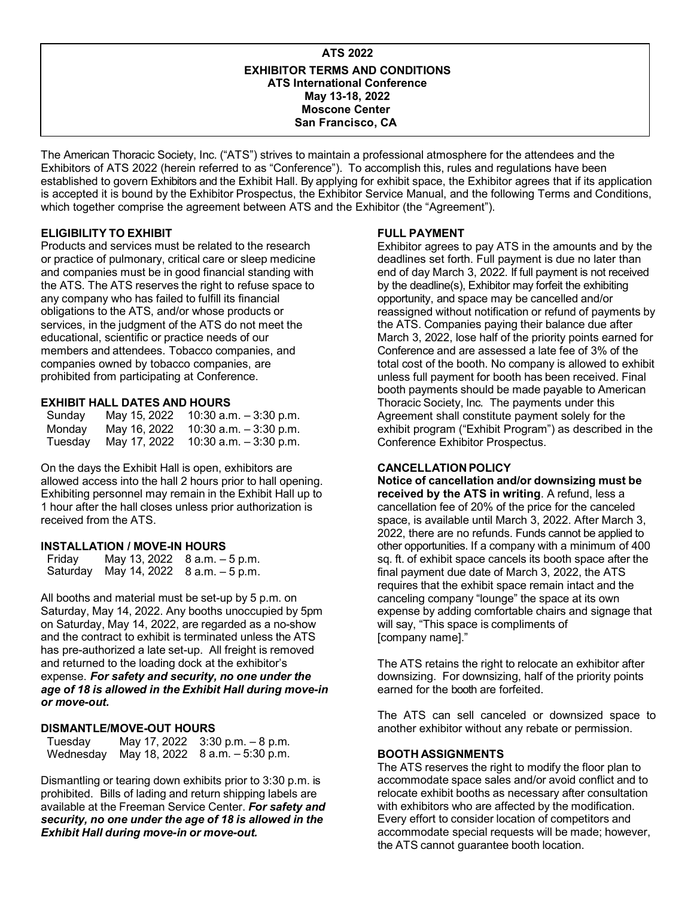#### **ATS 2022 EXHIBITOR TERMS AND CONDITIONS ATS International Conference May 13-18, 2022 Moscone Center San Francisco, CA**

The American Thoracic Society, Inc. ("ATS") strives to maintain a professional atmosphere for the attendees and the Exhibitors of ATS 2022 (herein referred to as "Conference"). To accomplish this, rules and regulations have been established to govern Exhibitors and the Exhibit Hall. By applying for exhibit space, the Exhibitor agrees that if its application is accepted it is bound by the Exhibitor Prospectus, the Exhibitor Service Manual, and the following Terms and Conditions, which together comprise the agreement between ATS and the Exhibitor (the "Agreement").

## **ELIGIBILITY TO EXHIBIT**

Products and services must be related to the research or practice of pulmonary, critical care or sleep medicine and companies must be in good financial standing with the ATS. The ATS reserves the right to refuse space to any company who has failed to fulfill its financial obligations to the ATS, and/or whose products or services, in the judgment of the ATS do not meet the educational, scientific or practice needs of our members and attendees. Tobacco companies, and companies owned by tobacco companies, are prohibited from participating at Conference.

#### **EXHIBIT HALL DATES AND HOURS**

| Sunday  | May 15, 2022 10:30 a.m. - 3:30 p.m.  |
|---------|--------------------------------------|
| Mondav  | May 16, 2022 10:30 a.m. $-3:30$ p.m. |
| Tuesday | May 17, 2022 10:30 a.m. $-3:30$ p.m. |

On the days the Exhibit Hall is open, exhibitors are allowed access into the hall 2 hours prior to hall opening. Exhibiting personnel may remain in the Exhibit Hall up to 1 hour after the hall closes unless prior authorization is received from the ATS.

#### **INSTALLATION / MOVE-IN HOURS**

| Friday | May 13, 2022 8 a.m. - 5 p.m.          |
|--------|---------------------------------------|
|        | Saturday May 14, 2022 8 a.m. - 5 p.m. |

All booths and material must be set-up by 5 p.m. on Saturday, May 14, 2022. Any booths unoccupied by 5pm on Saturday, May 14, 2022, are regarded as a no-show and the contract to exhibit is terminated unless the ATS has pre-authorized a late set-up. All freight is removed and returned to the loading dock at the exhibitor's expense. *For safety and security, no one under the age of 18 is allowed in the Exhibit Hall during move-in or move-out.*

## **DISMANTLE/MOVE-OUT HOURS**

Tuesday May 17, 2022 3:30 p.m. - 8 p.m.<br>Wednesday May 18, 2022 8 a.m. - 5:30 p.m. May 18, 2022 8 a.m. – 5:30 p.m.

Dismantling or tearing down exhibits prior to 3:30 p.m. is prohibited. Bills of lading and return shipping labels are available at the Freeman Service Center. *For safety and security, no one under the age of 18 is allowed in the Exhibit Hall during move-in or move-out.*

## **FULL PAYMENT**

Exhibitor agrees to pay ATS in the amounts and by the deadlines set forth. Full payment is due no later than end of day March 3, 2022. If full payment is not received by the deadline(s), Exhibitor may forfeit the exhibiting opportunity, and space may be cancelled and/or reassigned without notification or refund of payments by the ATS. Companies paying their balance due after March 3, 2022, lose half of the priority points earned for Conference and are assessed a late fee of 3% of the total cost of the booth. No company is allowed to exhibit unless full payment for booth has been received. Final booth payments should be made payable to American Thoracic Society, Inc. The payments under this Agreement shall constitute payment solely for the exhibit program ("Exhibit Program") as described in the Conference Exhibitor Prospectus.

## **CANCELLATION POLICY**

**Notice of cancellation and/or downsizing must be received by the ATS in writing**. A refund, less a cancellation fee of 20% of the price for the canceled space, is available until March 3, 2022. After March 3, 2022, there are no refunds. Funds cannot be applied to other opportunities. If a company with a minimum of 400 sq. ft. of exhibit space cancels its booth space after the final payment due date of March 3, 2022, the ATS requires that the exhibit space remain intact and the canceling company "lounge" the space at its own expense by adding comfortable chairs and signage that will say, "This space is compliments of [company name]."

The ATS retains the right to relocate an exhibitor after downsizing. For downsizing, half of the priority points earned for the booth are forfeited.

The ATS can sell canceled or downsized space to another exhibitor without any rebate or permission.

## **BOOTH ASSIGNMENTS**

The ATS reserves the right to modify the floor plan to accommodate space sales and/or avoid conflict and to relocate exhibit booths as necessary after consultation with exhibitors who are affected by the modification. Every effort to consider location of competitors and accommodate special requests will be made; however, the ATS cannot guarantee booth location.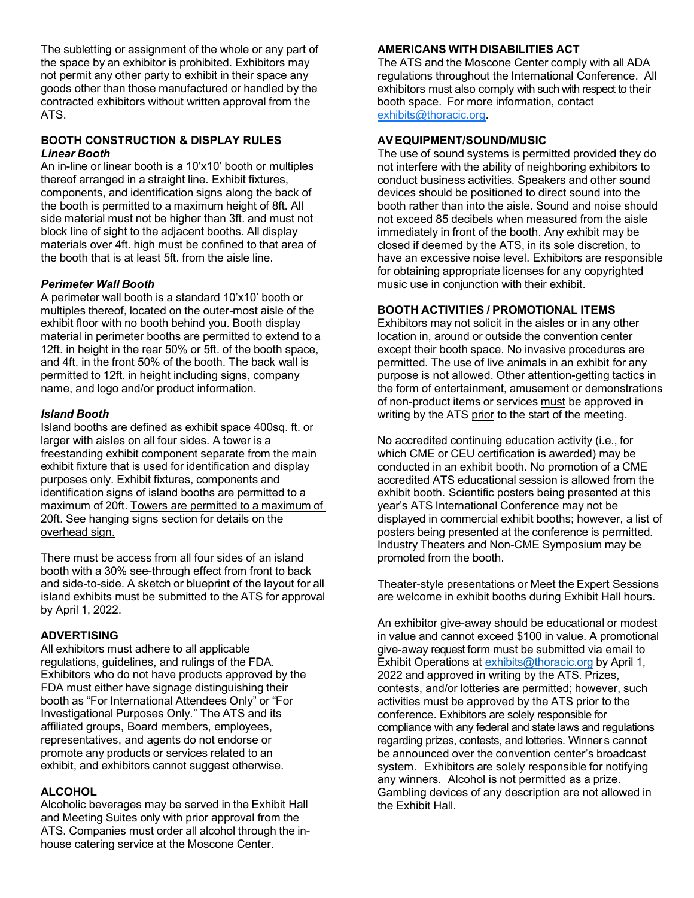The subletting or assignment of the whole or any part of the space by an exhibitor is prohibited. Exhibitors may not permit any other party to exhibit in their space any goods other than those manufactured or handled by the contracted exhibitors without written approval from the ATS.

#### **BOOTH CONSTRUCTION & DISPLAY RULES** *Linear Booth*

An in-line or linear booth is a 10'x10' booth or multiples thereof arranged in a straight line. Exhibit fixtures, components, and identification signs along the back of the booth is permitted to a maximum height of 8ft. All side material must not be higher than 3ft. and must not block line of sight to the adjacent booths. All display materials over 4ft. high must be confined to that area of the booth that is at least 5ft. from the aisle line.

## *Perimeter Wall Booth*

A perimeter wall booth is a standard 10'x10' booth or multiples thereof, located on the outer-most aisle of the exhibit floor with no booth behind you. Booth display material in perimeter booths are permitted to extend to a 12ft. in height in the rear 50% or 5ft. of the booth space, and 4ft. in the front 50% of the booth. The back wall is permitted to 12ft. in height including signs, company name, and logo and/or product information.

## *Island Booth*

Island booths are defined as exhibit space 400sq. ft. or larger with aisles on all four sides. A tower is a freestanding exhibit component separate from the main exhibit fixture that is used for identification and display purposes only. Exhibit fixtures, components and identification signs of island booths are permitted to a maximum of 20ft. Towers are permitted to a maximum of 20ft. See hanging signs section for details on the overhead sign.

There must be access from all four sides of an island booth with a 30% see-through effect from front to back and side-to-side. A sketch or blueprint of the layout for all island exhibits must be submitted to the ATS for approval by April 1, 2022.

## **ADVERTISING**

All exhibitors must adhere to all applicable regulations, guidelines, and rulings of the FDA. Exhibitors who do not have products approved by the FDA must either have signage distinguishing their booth as "For International Attendees Only" or "For Investigational Purposes Only." The ATS and its affiliated groups, Board members, employees, representatives, and agents do not endorse or promote any products or services related to an exhibit, and exhibitors cannot suggest otherwise.

## **ALCOHOL**

Alcoholic beverages may be served in the Exhibit Hall and Meeting Suites only with prior approval from the ATS. Companies must order all alcohol through the inhouse catering service at the Moscone Center.

# **AMERICANS WITH DISABILITIES ACT**

The ATS and the Moscone Center comply with all ADA regulations throughout the International Conference. All exhibitors must also comply with such with respect to their booth space. For more information, contact [exhibits@thoracic.org](mailto:exhibits@thoracic.org).

# **AV EQUIPMENT/SOUND/MUSIC**

The use of sound systems is permitted provided they do not interfere with the ability of neighboring exhibitors to conduct business activities. Speakers and other sound devices should be positioned to direct sound into the booth rather than into the aisle. Sound and noise should not exceed 85 decibels when measured from the aisle immediately in front of the booth. Any exhibit may be closed if deemed by the ATS, in its sole discretion, to have an excessive noise level. Exhibitors are responsible for obtaining appropriate licenses for any copyrighted music use in conjunction with their exhibit.

## **BOOTH ACTIVITIES / PROMOTIONAL ITEMS**

Exhibitors may not solicit in the aisles or in any other location in, around or outside the convention center except their booth space. No invasive procedures are permitted. The use of live animals in an exhibit for any purpose is not allowed. Other attention-getting tactics in the form of entertainment, amusement or demonstrations of non-product items or services must be approved in writing by the ATS prior to the start of the meeting.

No accredited continuing education activity (i.e., for which CME or CEU certification is awarded) may be conducted in an exhibit booth. No promotion of a CME accredited ATS educational session is allowed from the exhibit booth. Scientific posters being presented at this year's ATS International Conference may not be displayed in commercial exhibit booths; however, a list of posters being presented at the conference is permitted. Industry Theaters and Non-CME Symposium may be promoted from the booth.

Theater-style presentations or Meet the Expert Sessions are welcome in exhibit booths during Exhibit Hall hours.

An exhibitor give-away should be educational or modest in value and cannot exceed \$100 in value. A promotional give-away request form must be submitted via email to Exhibit Operations at [exhibits@thoracic.org](mailto:exhibits@thoracic.org) by April 1, 2022 and approved in writing by the ATS. Prizes, contests, and/or lotteries are permitted; however, such activities must be approved by the ATS prior to the conference. Exhibitors are solely responsible for compliance with any federal and state laws and regulations regarding prizes, contests, and lotteries. Winner s cannot be announced over the convention center's broadcast system. Exhibitors are solely responsible for notifying any winners. Alcohol is not permitted as a prize. Gambling devices of any description are not allowed in the Exhibit Hall.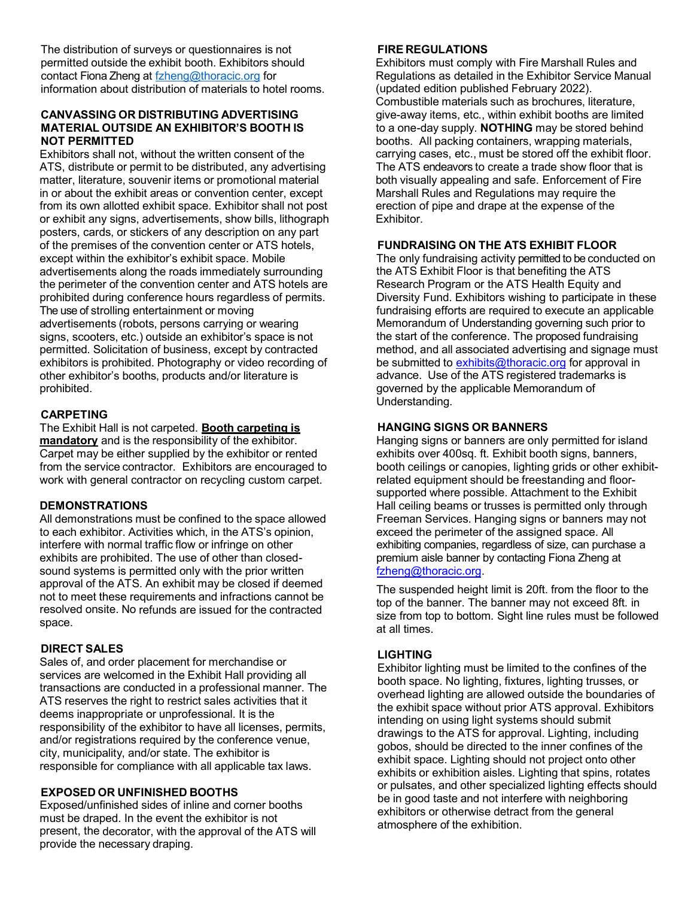The distribution of surveys or questionnaires is not permitted outside the exhibit booth. Exhibitors should contact Fiona Zheng at [fzheng@thoracic.org fo](mailto:fzheng@thoracic.org)r information about distribution of materials to hotel rooms.

#### **CANVASSING OR DISTRIBUTING ADVERTISING MATERIAL OUTSIDE AN EXHIBITOR'S BOOTH IS NOT PERMITTED**

Exhibitors shall not, without the written consent of the ATS, distribute or permit to be distributed, any advertising matter, literature, souvenir items or promotional material in or about the exhibit areas or convention center, except from its own allotted exhibit space. Exhibitor shall not post or exhibit any signs, advertisements, show bills, lithograph posters, cards, or stickers of any description on any part of the premises of the convention center or ATS hotels, except within the exhibitor's exhibit space. Mobile advertisements along the roads immediately surrounding the perimeter of the convention center and ATS hotels are prohibited during conference hours regardless of permits. The use of strolling entertainment or moving advertisements (robots, persons carrying or wearing signs, scooters, etc.) outside an exhibitor's space is not permitted. Solicitation of business, except by contracted exhibitors is prohibited. Photography or video recording of other exhibitor's booths, products and/or literature is prohibited.

## **CARPETING**

The Exhibit Hall is not carpeted. **Booth carpeting is mandatory** and is the responsibility of the exhibitor. Carpet may be either supplied by the exhibitor or rented from the service contractor. Exhibitors are encouraged to work with general contractor on recycling custom carpet.

## **DEMONSTRATIONS**

All demonstrations must be confined to the space allowed to each exhibitor. Activities which, in the ATS's opinion, interfere with normal traffic flow or infringe on other exhibits are prohibited. The use of other than closedsound systems is permitted only with the prior written approval of the ATS. An exhibit may be closed if deemed not to meet these requirements and infractions cannot be resolved onsite. No refunds are issued for the contracted space.

## **DIRECT SALES**

Sales of, and order placement for merchandise or services are welcomed in the Exhibit Hall providing all transactions are conducted in a professional manner. The ATS reserves the right to restrict sales activities that it deems inappropriate or unprofessional. It is the responsibility of the exhibitor to have all licenses, permits, and/or registrations required by the conference venue, city, municipality, and/or state. The exhibitor is responsible for compliance with all applicable tax laws.

## **EXPOSED OR UNFINISHED BOOTHS**

Exposed/unfinished sides of inline and corner booths must be draped. In the event the exhibitor is not present, the decorator, with the approval of the ATS will provide the necessary draping.

## **FIRE REGULATIONS**

Exhibitors must comply with Fire Marshall Rules and Regulations as detailed in the Exhibitor Service Manual (updated edition published February 2022). Combustible materials such as brochures, literature, give-away items, etc., within exhibit booths are limited to a one-day supply. **NOTHING** may be stored behind booths. All packing containers, wrapping materials, carrying cases, etc., must be stored off the exhibit floor. The ATS endeavors to create a trade show floor that is both visually appealing and safe. Enforcement of Fire Marshall Rules and Regulations may require the erection of pipe and drape at the expense of the Exhibitor.

## **FUNDRAISING ON THE ATS EXHIBIT FLOOR**

The only fundraising activity permitted to be conducted on the ATS Exhibit Floor is that benefiting the ATS Research Program or the ATS Health Equity and Diversity Fund. Exhibitors wishing to participate in these fundraising efforts are required to execute an applicable Memorandum of Understanding governing such prior to the start of the conference. The proposed fundraising method, and all associated advertising and signage must be submitted to [exhibits@thoracic.org](mailto:exhibits@thoracic.org) for approval in advance. Use of the ATS registered trademarks is governed by the applicable Memorandum of Understanding.

## **HANGING SIGNS OR BANNERS**

Hanging signs or banners are only permitted for island exhibits over 400sq. ft. Exhibit booth signs, banners, booth ceilings or canopies, lighting grids or other exhibitrelated equipment should be freestanding and floorsupported where possible. Attachment to the Exhibit Hall ceiling beams or trusses is permitted only through Freeman Services. Hanging signs or banners may not exceed the perimeter of the assigned space. All exhibiting companies, regardless of size, can purchase a premium aisle banner by contacting Fiona Zheng at [fzheng@thoracic.org.](mailto:fzheng@thoracic.org) 

The suspended height limit is 20ft. from the floor to the top of the banner. The banner may not exceed 8ft. in size from top to bottom. Sight line rules must be followed at all times.

## **LIGHTING**

Exhibitor lighting must be limited to the confines of the booth space. No lighting, fixtures, lighting trusses, or overhead lighting are allowed outside the boundaries of the exhibit space without prior ATS approval. Exhibitors intending on using light systems should submit drawings to the ATS for approval. Lighting, including gobos, should be directed to the inner confines of the exhibit space. Lighting should not project onto other exhibits or exhibition aisles. Lighting that spins, rotates or pulsates, and other specialized lighting effects should be in good taste and not interfere with neighboring exhibitors or otherwise detract from the general atmosphere of the exhibition.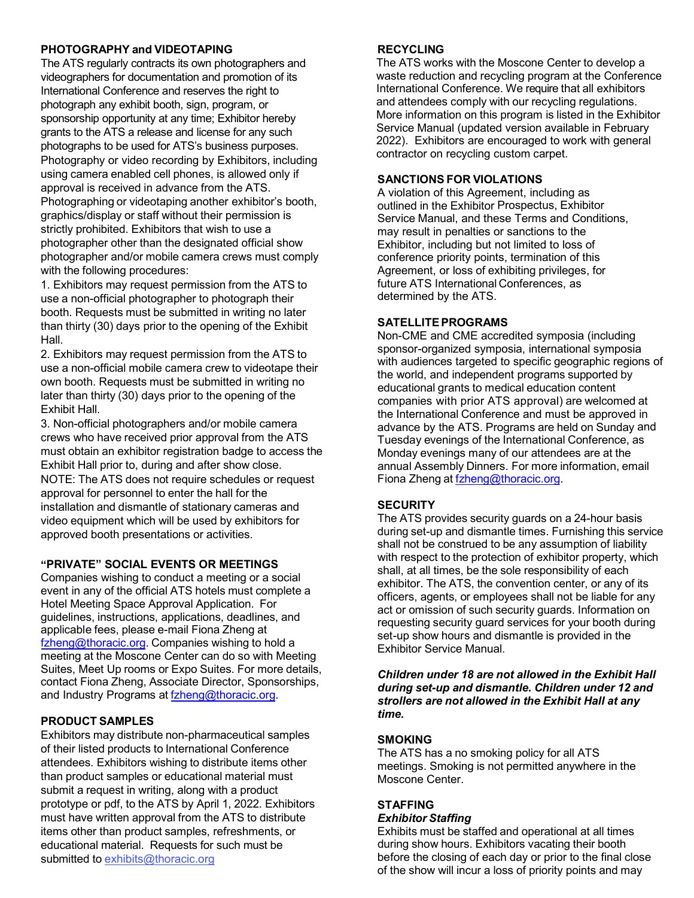## **PHOTOGRAPHY and VIDEOTAPING**

The ATS regularly contracts its own photographers and videographers for documentation and promotion of its International Conference and reserves the right to photograph any exhibit booth, sign, program, or sponsorship opportunity at any time; Exhibitor hereby grants to the ATS a release and license for any such photographs to be used for ATS's business purposes. Photography or video recording by Exhibitors, including using camera enabled cell phones, is allowed only if approval is received in advance from the ATS. Photographing or videotaping another exhibitor's booth, graphics/display or staff without their permission is strictly prohibited. Exhibitors that wish to use a photographer other than the designated official show photographer and/or mobile camera crews must comply with the following procedures:

1. Exhibitors may request permission from the ATS to use a non-official photographer to photograph their booth. Requests must be submitted in writing no later than thirty (30) days prior to the opening of the Exhibit Hall.

2. Exhibitors may request permission from the ATS to use a non-official mobile camera crew to videotape their own booth. Requests must be submitted in writing no later than thirty (30) days prior to the opening of the Exhibit Hall.

3. Non-official photographers and/or mobile camera crews who have received prior approval from the ATS must obtain an exhibitor registration badge to access the Exhibit Hall prior to, during and after show close. NOTE: The ATS does not require schedules or request approval for personnel to enter the hall for the installation and dismantle of stationary cameras and video equipment which will be used by exhibitors for approved booth presentations or activities.

## **"PRIVATE" SOCIAL EVENTS OR MEETINGS**

Companies wishing to conduct a meeting or a social event in any of the official ATS hotels must complete a Hotel Meeting Space Approval Application. For guidelines, instructions, applications, deadlines, and applicable fees, please e-mail Fiona Zheng at [fzheng@thoracic.org. Co](mailto:fzheng@thoracic.org)mpanies wishing to hold a meeting at the Moscone Center can do so with Meeting Suites, Meet Up rooms or Expo Suites. For more details, contact Fiona Zheng, Associate Director, Sponsorships, and Industry Programs at fzheng@thoracic.org.

## **PRODUCT SAMPLES**

Exhibitors may distribute non-pharmaceutical samples of their listed products to International Conference attendees. Exhibitors wishing to distribute items other than product samples or educational material must submit a request in writing, along with a product prototype or pdf, to the ATS by April 1, 2022. Exhibitors must have written approval from the ATS to distribute items other than product samples, refreshments, or educational material. Requests for such must be submitted to [exhibits@thoracic.org](mailto:exhibits@thoracic.org)

## **RECYCLING**

The ATS works with the Moscone Center to develop a waste reduction and recycling program at the Conference International Conference. We require that all exhibitors and attendees comply with our recycling regulations. More information on this program is listed in the Exhibitor Service Manual (updated version available in February 2022). Exhibitors are encouraged to work with general contractor on recycling custom carpet.

## **SANCTIONS FOR VIOLATIONS**

A violation of this Agreement, including as outlined in the Exhibitor Prospectus, Exhibitor Service Manual, and these Terms and Conditions, may result in penalties or sanctions to the Exhibitor, including but not limited to loss of conference priority points, termination of this Agreement, or loss of exhibiting privileges, for future ATS International Conferences, as determined by the ATS.

## **SATELLITE PROGRAMS**

Non-CME and CME accredited symposia (including sponsor-organized symposia, international symposia with audiences targeted to specific geographic regions of the world, and independent programs supported by educational grants to medical education content companies with prior ATS approval) are welcomed at the International Conference and must be approved in advance by the ATS. Programs are held on Sunday and Tuesday evenings of the International Conference, as Monday evenings many of our attendees are at the annual Assembly Dinners. For more information, email Fiona Zheng at [fzheng@thoracic.org.](mailto:fzheng@thoracic.org)

## **SECURITY**

The ATS provides security guards on a 24-hour basis during set-up and dismantle times. Furnishing this service shall not be construed to be any assumption of liability with respect to the protection of exhibitor property, which shall, at all times, be the sole responsibility of each exhibitor. The ATS, the convention center, or any of its officers, agents, or employees shall not be liable for any act or omission of such security guards. Information on requesting security guard services for your booth during set-up show hours and dismantle is provided in the Exhibitor Service Manual.

*Children under 18 are not allowed in the Exhibit Hall during set-up and dismantle. Children under 12 and strollers are not allowed in the Exhibit Hall at any time.*

## **SMOKING**

The ATS has a no smoking policy for all ATS meetings. Smoking is not permitted anywhere in the Moscone Center.

# **STAFFING**

#### *Exhibitor Staffing*

Exhibits must be staffed and operational at all times during show hours. Exhibitors vacating their booth before the closing of each day or prior to the final close of the show will incur a loss of priority points and may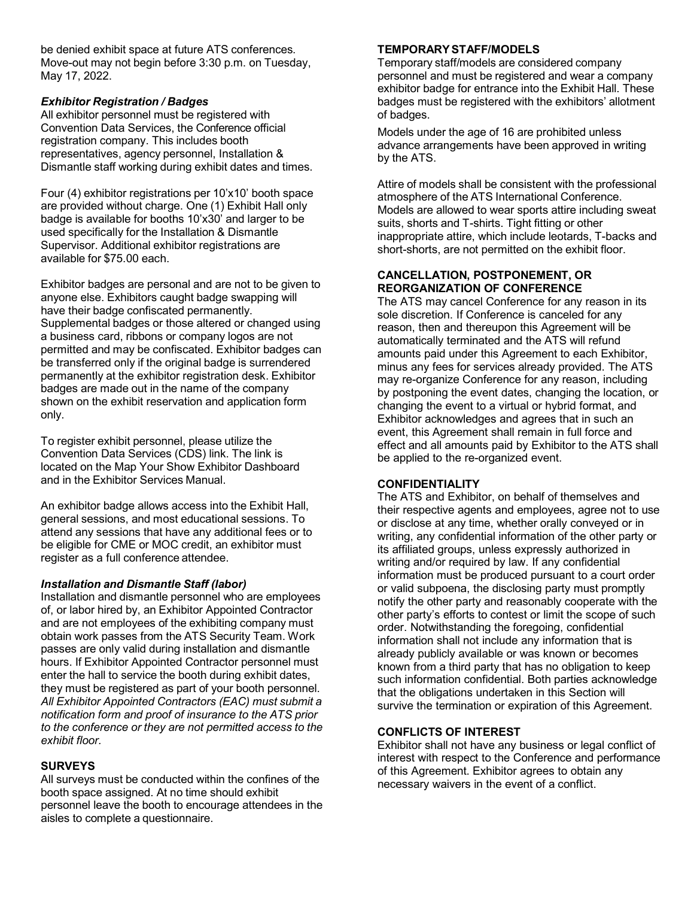be denied exhibit space at future ATS conferences. Move-out may not begin before 3:30 p.m. on Tuesday, May 17, 2022.

#### *Exhibitor Registration / Badges*

All exhibitor personnel must be registered with Convention Data Services, the Conference official registration company. This includes booth representatives, agency personnel, Installation & Dismantle staff working during exhibit dates and times.

Four (4) exhibitor registrations per 10'x10' booth space are provided without charge. One (1) Exhibit Hall only badge is available for booths 10'x30' and larger to be used specifically for the Installation & Dismantle Supervisor. Additional exhibitor registrations are available for \$75.00 each.

Exhibitor badges are personal and are not to be given to anyone else. Exhibitors caught badge swapping will have their badge confiscated permanently. Supplemental badges or those altered or changed using a business card, ribbons or company logos are not permitted and may be confiscated. Exhibitor badges can be transferred only if the original badge is surrendered permanently at the exhibitor registration desk. Exhibitor badges are made out in the name of the company shown on the exhibit reservation and application form only.

To register exhibit personnel, please utilize the Convention Data Services (CDS) link. The link is located on the Map Your Show Exhibitor Dashboard and in the Exhibitor Services Manual.

An exhibitor badge allows access into the Exhibit Hall, general sessions, and most educational sessions. To attend any sessions that have any additional fees or to be eligible for CME or MOC credit, an exhibitor must register as a full conference attendee.

#### *Installation and Dismantle Staff (labor)*

Installation and dismantle personnel who are employees of, or labor hired by, an Exhibitor Appointed Contractor and are not employees of the exhibiting company must obtain work passes from the ATS Security Team. Work passes are only valid during installation and dismantle hours. If Exhibitor Appointed Contractor personnel must enter the hall to service the booth during exhibit dates, they must be registered as part of your booth personnel. *All Exhibitor Appointed Contractors (EAC) must submit a notification form and proof of insurance to the ATS prior to the conference or they are not permitted access to the exhibit floor.*

## **SURVEYS**

All surveys must be conducted within the confines of the booth space assigned. At no time should exhibit personnel leave the booth to encourage attendees in the aisles to complete a questionnaire.

### **TEMPORARYSTAFF/MODELS**

Temporary staff/models are considered company personnel and must be registered and wear a company exhibitor badge for entrance into the Exhibit Hall. These badges must be registered with the exhibitors' allotment of badges.

Models under the age of 16 are prohibited unless advance arrangements have been approved in writing by the ATS.

Attire of models shall be consistent with the professional atmosphere of the ATS International Conference. Models are allowed to wear sports attire including sweat suits, shorts and T-shirts. Tight fitting or other inappropriate attire, which include leotards, T-backs and short-shorts, are not permitted on the exhibit floor.

#### **CANCELLATION, POSTPONEMENT, OR REORGANIZATION OF CONFERENCE**

The ATS may cancel Conference for any reason in its sole discretion. If Conference is canceled for any reason, then and thereupon this Agreement will be automatically terminated and the ATS will refund amounts paid under this Agreement to each Exhibitor, minus any fees for services already provided. The ATS may re-organize Conference for any reason, including by postponing the event dates, changing the location, or changing the event to a virtual or hybrid format, and Exhibitor acknowledges and agrees that in such an event, this Agreement shall remain in full force and effect and all amounts paid by Exhibitor to the ATS shall be applied to the re-organized event.

## **CONFIDENTIALITY**

The ATS and Exhibitor, on behalf of themselves and their respective agents and employees, agree not to use or disclose at any time, whether orally conveyed or in writing, any confidential information of the other party or its affiliated groups, unless expressly authorized in writing and/or required by law. If any confidential information must be produced pursuant to a court order or valid subpoena, the disclosing party must promptly notify the other party and reasonably cooperate with the other party's efforts to contest or limit the scope of such order. Notwithstanding the foregoing, confidential information shall not include any information that is already publicly available or was known or becomes known from a third party that has no obligation to keep such information confidential. Both parties acknowledge that the obligations undertaken in this Section will survive the termination or expiration of this Agreement.

## **CONFLICTS OF INTEREST**

Exhibitor shall not have any business or legal conflict of interest with respect to the Conference and performance of this Agreement. Exhibitor agrees to obtain any necessary waivers in the event of a conflict.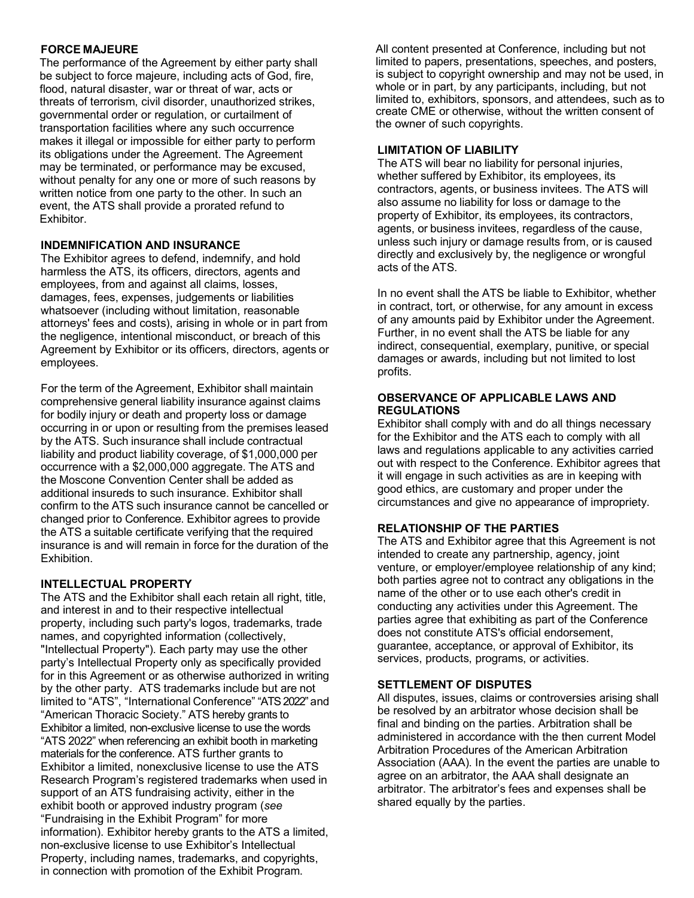## **FORCE MAJEURE**

The performance of the Agreement by either party shall be subject to force majeure, including acts of God, fire, flood, natural disaster, war or threat of war, acts or threats of terrorism, civil disorder, unauthorized strikes, governmental order or regulation, or curtailment of transportation facilities where any such occurrence makes it illegal or impossible for either party to perform its obligations under the Agreement. The Agreement may be terminated, or performance may be excused, without penalty for any one or more of such reasons by written notice from one party to the other. In such an event, the ATS shall provide a prorated refund to Exhibitor.

## **INDEMNIFICATION AND INSURANCE**

The Exhibitor agrees to defend, indemnify, and hold harmless the ATS, its officers, directors, agents and employees, from and against all claims, losses, damages, fees, expenses, judgements or liabilities whatsoever (including without limitation, reasonable attorneys' fees and costs), arising in whole or in part from the negligence, intentional misconduct, or breach of this Agreement by Exhibitor or its officers, directors, agents or employees.

For the term of the Agreement, Exhibitor shall maintain comprehensive general liability insurance against claims for bodily injury or death and property loss or damage occurring in or upon or resulting from the premises leased by the ATS. Such insurance shall include contractual liability and product liability coverage, of \$1,000,000 per occurrence with a \$2,000,000 aggregate. The ATS and the Moscone Convention Center shall be added as additional insureds to such insurance. Exhibitor shall confirm to the ATS such insurance cannot be cancelled or changed prior to Conference. Exhibitor agrees to provide the ATS a suitable certificate verifying that the required insurance is and will remain in force for the duration of the Exhibition.

## **INTELLECTUAL PROPERTY**

The ATS and the Exhibitor shall each retain all right, title, and interest in and to their respective intellectual property, including such party's logos, trademarks, trade names, and copyrighted information (collectively, "Intellectual Property"). Each party may use the other party's Intellectual Property only as specifically provided for in this Agreement or as otherwise authorized in writing by the other party. ATS trademarks include but are not limited to "ATS", "International Conference" "ATS 2022" and "American Thoracic Society." ATS hereby grants to Exhibitor a limited, non-exclusive license to use the words "ATS 2022" when referencing an exhibit booth in marketing materials for the conference. ATS further grants to Exhibitor a limited, nonexclusive license to use the ATS Research Program's registered trademarks when used in support of an ATS fundraising activity, either in the exhibit booth or approved industry program (*see* "Fundraising in the Exhibit Program" for more information). Exhibitor hereby grants to the ATS a limited, non-exclusive license to use Exhibitor's Intellectual Property, including names, trademarks, and copyrights, in connection with promotion of the Exhibit Program.

All content presented at Conference, including but not limited to papers, presentations, speeches, and posters, is subject to copyright ownership and may not be used, in whole or in part, by any participants, including, but not limited to, exhibitors, sponsors, and attendees, such as to create CME or otherwise, without the written consent of the owner of such copyrights.

## **LIMITATION OF LIABILITY**

The ATS will bear no liability for personal injuries, whether suffered by Exhibitor, its employees, its contractors, agents, or business invitees. The ATS will also assume no liability for loss or damage to the property of Exhibitor, its employees, its contractors, agents, or business invitees, regardless of the cause, unless such injury or damage results from, or is caused directly and exclusively by, the negligence or wrongful acts of the ATS.

In no event shall the ATS be liable to Exhibitor, whether in contract, tort, or otherwise, for any amount in excess of any amounts paid by Exhibitor under the Agreement. Further, in no event shall the ATS be liable for any indirect, consequential, exemplary, punitive, or special damages or awards, including but not limited to lost profits.

#### **OBSERVANCE OF APPLICABLE LAWS AND REGULATIONS**

Exhibitor shall comply with and do all things necessary for the Exhibitor and the ATS each to comply with all laws and regulations applicable to any activities carried out with respect to the Conference. Exhibitor agrees that it will engage in such activities as are in keeping with good ethics, are customary and proper under the circumstances and give no appearance of impropriety.

## **RELATIONSHIP OF THE PARTIES**

The ATS and Exhibitor agree that this Agreement is not intended to create any partnership, agency, joint venture, or employer/employee relationship of any kind; both parties agree not to contract any obligations in the name of the other or to use each other's credit in conducting any activities under this Agreement. The parties agree that exhibiting as part of the Conference does not constitute ATS's official endorsement, guarantee, acceptance, or approval of Exhibitor, its services, products, programs, or activities.

## **SETTLEMENT OF DISPUTES**

All disputes, issues, claims or controversies arising shall be resolved by an arbitrator whose decision shall be final and binding on the parties. Arbitration shall be administered in accordance with the then current Model Arbitration Procedures of the American Arbitration Association (AAA). In the event the parties are unable to agree on an arbitrator, the AAA shall designate an arbitrator. The arbitrator's fees and expenses shall be shared equally by the parties.